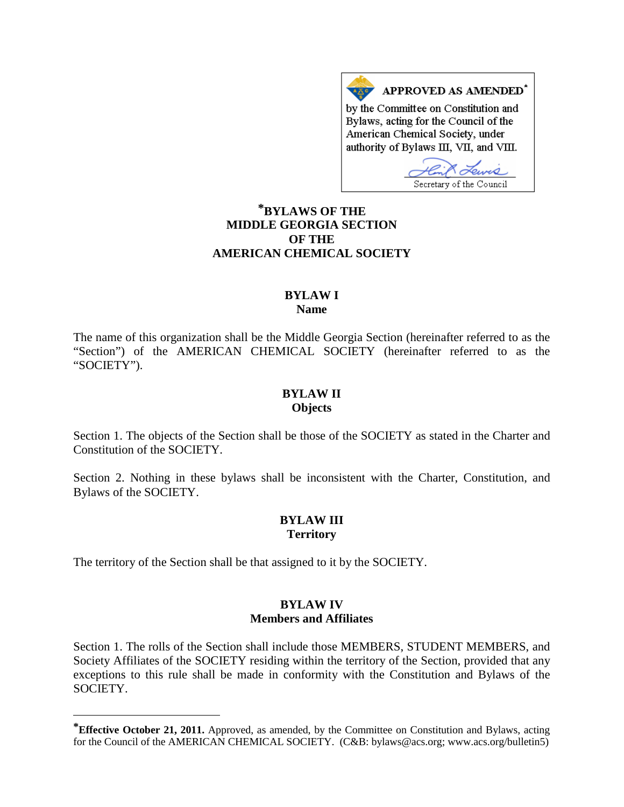APPROVED AS AMENDED\* by the Committee on Constitution and Bylaws, acting for the Council of the American Chemical Society, under authority of Bylaws III, VII, and VIII.

Secretary of the Council

# **[\\*](#page-0-0)BYLAWS OF THE MIDDLE GEORGIA SECTION OF THE AMERICAN CHEMICAL SOCIETY**

#### **BYLAW I Name**

The name of this organization shall be the Middle Georgia Section (hereinafter referred to as the "Section") of the AMERICAN CHEMICAL SOCIETY (hereinafter referred to as the "SOCIETY").

#### **BYLAW II Objects**

Section 1. The objects of the Section shall be those of the SOCIETY as stated in the Charter and Constitution of the SOCIETY.

Section 2. Nothing in these bylaws shall be inconsistent with the Charter, Constitution, and Bylaws of the SOCIETY.

## **BYLAW III Territory**

The territory of the Section shall be that assigned to it by the SOCIETY.

 $\overline{a}$ 

## **BYLAW IV Members and Affiliates**

Section 1. The rolls of the Section shall include those MEMBERS, STUDENT MEMBERS, and Society Affiliates of the SOCIETY residing within the territory of the Section, provided that any exceptions to this rule shall be made in conformity with the Constitution and Bylaws of the SOCIETY.

<span id="page-0-0"></span>**<sup>\*</sup>Effective October 21, 2011.** Approved, as amended, by the Committee on Constitution and Bylaws, acting for the Council of the AMERICAN CHEMICAL SOCIETY. (C&B: bylaws@acs.org; www.acs.org/bulletin5)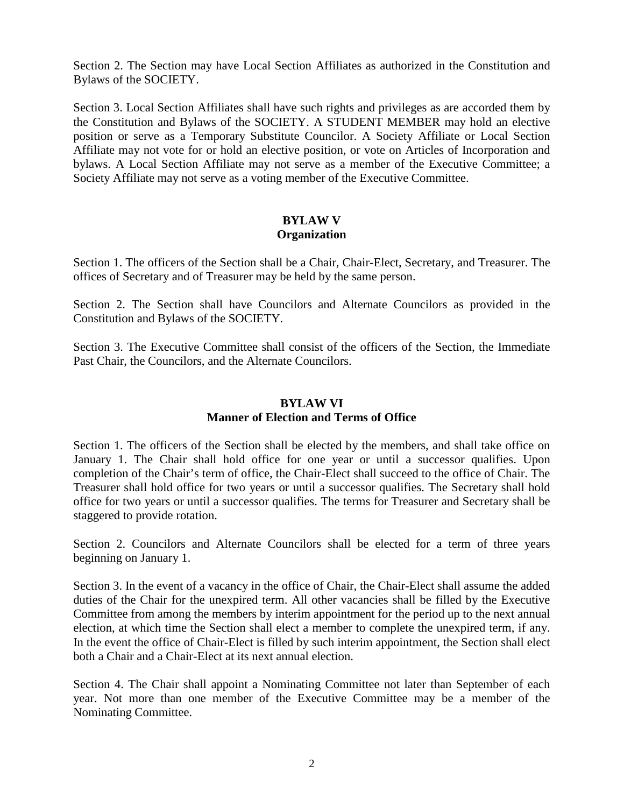Section 2. The Section may have Local Section Affiliates as authorized in the Constitution and Bylaws of the SOCIETY.

Section 3. Local Section Affiliates shall have such rights and privileges as are accorded them by the Constitution and Bylaws of the SOCIETY. A STUDENT MEMBER may hold an elective position or serve as a Temporary Substitute Councilor. A Society Affiliate or Local Section Affiliate may not vote for or hold an elective position, or vote on Articles of Incorporation and bylaws. A Local Section Affiliate may not serve as a member of the Executive Committee; a Society Affiliate may not serve as a voting member of the Executive Committee.

#### **BYLAW V Organization**

Section 1. The officers of the Section shall be a Chair, Chair-Elect, Secretary, and Treasurer. The offices of Secretary and of Treasurer may be held by the same person.

Section 2. The Section shall have Councilors and Alternate Councilors as provided in the Constitution and Bylaws of the SOCIETY.

Section 3. The Executive Committee shall consist of the officers of the Section, the Immediate Past Chair, the Councilors, and the Alternate Councilors.

# **BYLAW VI Manner of Election and Terms of Office**

Section 1. The officers of the Section shall be elected by the members, and shall take office on January 1. The Chair shall hold office for one year or until a successor qualifies. Upon completion of the Chair's term of office, the Chair-Elect shall succeed to the office of Chair. The Treasurer shall hold office for two years or until a successor qualifies. The Secretary shall hold office for two years or until a successor qualifies. The terms for Treasurer and Secretary shall be staggered to provide rotation.

Section 2. Councilors and Alternate Councilors shall be elected for a term of three years beginning on January 1.

Section 3. In the event of a vacancy in the office of Chair, the Chair-Elect shall assume the added duties of the Chair for the unexpired term. All other vacancies shall be filled by the Executive Committee from among the members by interim appointment for the period up to the next annual election, at which time the Section shall elect a member to complete the unexpired term, if any. In the event the office of Chair-Elect is filled by such interim appointment, the Section shall elect both a Chair and a Chair-Elect at its next annual election.

Section 4. The Chair shall appoint a Nominating Committee not later than September of each year. Not more than one member of the Executive Committee may be a member of the Nominating Committee.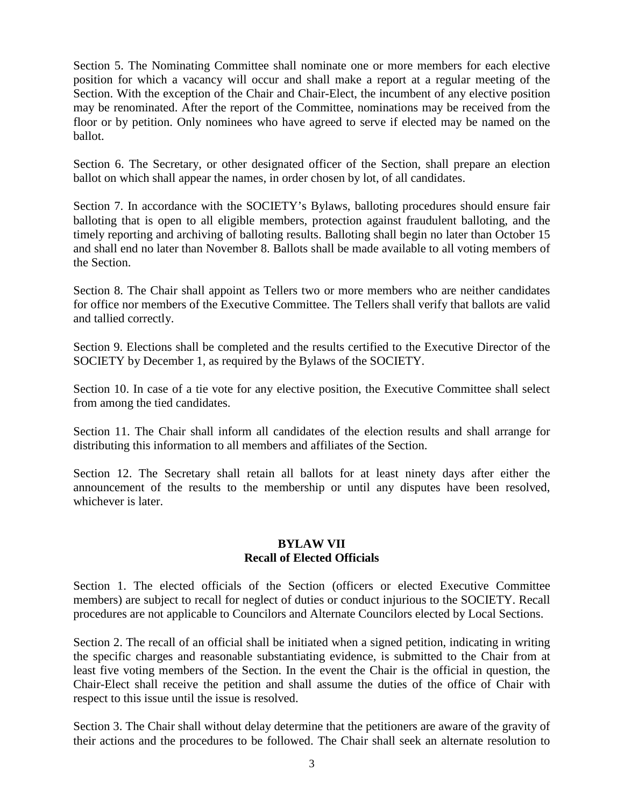Section 5. The Nominating Committee shall nominate one or more members for each elective position for which a vacancy will occur and shall make a report at a regular meeting of the Section. With the exception of the Chair and Chair-Elect, the incumbent of any elective position may be renominated. After the report of the Committee, nominations may be received from the floor or by petition. Only nominees who have agreed to serve if elected may be named on the ballot.

Section 6. The Secretary, or other designated officer of the Section, shall prepare an election ballot on which shall appear the names, in order chosen by lot, of all candidates.

Section 7. In accordance with the SOCIETY's Bylaws, balloting procedures should ensure fair balloting that is open to all eligible members, protection against fraudulent balloting, and the timely reporting and archiving of balloting results. Balloting shall begin no later than October 15 and shall end no later than November 8. Ballots shall be made available to all voting members of the Section.

Section 8. The Chair shall appoint as Tellers two or more members who are neither candidates for office nor members of the Executive Committee. The Tellers shall verify that ballots are valid and tallied correctly.

Section 9. Elections shall be completed and the results certified to the Executive Director of the SOCIETY by December 1, as required by the Bylaws of the SOCIETY.

Section 10. In case of a tie vote for any elective position, the Executive Committee shall select from among the tied candidates.

Section 11. The Chair shall inform all candidates of the election results and shall arrange for distributing this information to all members and affiliates of the Section.

Section 12. The Secretary shall retain all ballots for at least ninety days after either the announcement of the results to the membership or until any disputes have been resolved, whichever is later.

## **BYLAW VII Recall of Elected Officials**

Section 1. The elected officials of the Section (officers or elected Executive Committee members) are subject to recall for neglect of duties or conduct injurious to the SOCIETY. Recall procedures are not applicable to Councilors and Alternate Councilors elected by Local Sections.

Section 2. The recall of an official shall be initiated when a signed petition, indicating in writing the specific charges and reasonable substantiating evidence, is submitted to the Chair from at least five voting members of the Section. In the event the Chair is the official in question, the Chair-Elect shall receive the petition and shall assume the duties of the office of Chair with respect to this issue until the issue is resolved.

Section 3. The Chair shall without delay determine that the petitioners are aware of the gravity of their actions and the procedures to be followed. The Chair shall seek an alternate resolution to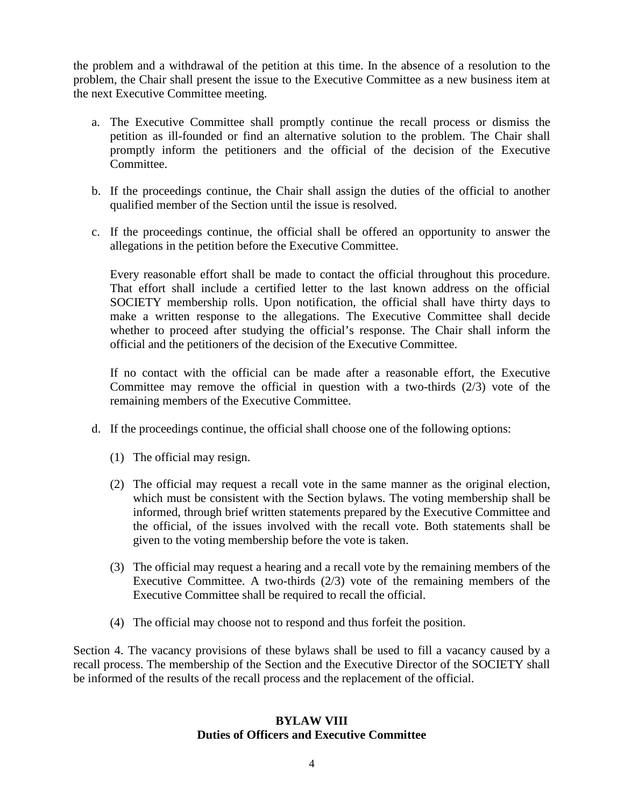the problem and a withdrawal of the petition at this time. In the absence of a resolution to the problem, the Chair shall present the issue to the Executive Committee as a new business item at the next Executive Committee meeting.

- a. The Executive Committee shall promptly continue the recall process or dismiss the petition as ill-founded or find an alternative solution to the problem. The Chair shall promptly inform the petitioners and the official of the decision of the Executive Committee.
- b. If the proceedings continue, the Chair shall assign the duties of the official to another qualified member of the Section until the issue is resolved.
- c. If the proceedings continue, the official shall be offered an opportunity to answer the allegations in the petition before the Executive Committee.

Every reasonable effort shall be made to contact the official throughout this procedure. That effort shall include a certified letter to the last known address on the official SOCIETY membership rolls. Upon notification, the official shall have thirty days to make a written response to the allegations. The Executive Committee shall decide whether to proceed after studying the official's response. The Chair shall inform the official and the petitioners of the decision of the Executive Committee.

If no contact with the official can be made after a reasonable effort, the Executive Committee may remove the official in question with a two-thirds (2/3) vote of the remaining members of the Executive Committee.

- d. If the proceedings continue, the official shall choose one of the following options:
	- (1) The official may resign.
	- (2) The official may request a recall vote in the same manner as the original election, which must be consistent with the Section bylaws. The voting membership shall be informed, through brief written statements prepared by the Executive Committee and the official, of the issues involved with the recall vote. Both statements shall be given to the voting membership before the vote is taken.
	- (3) The official may request a hearing and a recall vote by the remaining members of the Executive Committee. A two-thirds (2/3) vote of the remaining members of the Executive Committee shall be required to recall the official.
	- (4) The official may choose not to respond and thus forfeit the position.

Section 4. The vacancy provisions of these bylaws shall be used to fill a vacancy caused by a recall process. The membership of the Section and the Executive Director of the SOCIETY shall be informed of the results of the recall process and the replacement of the official.

#### **BYLAW VIII Duties of Officers and Executive Committee**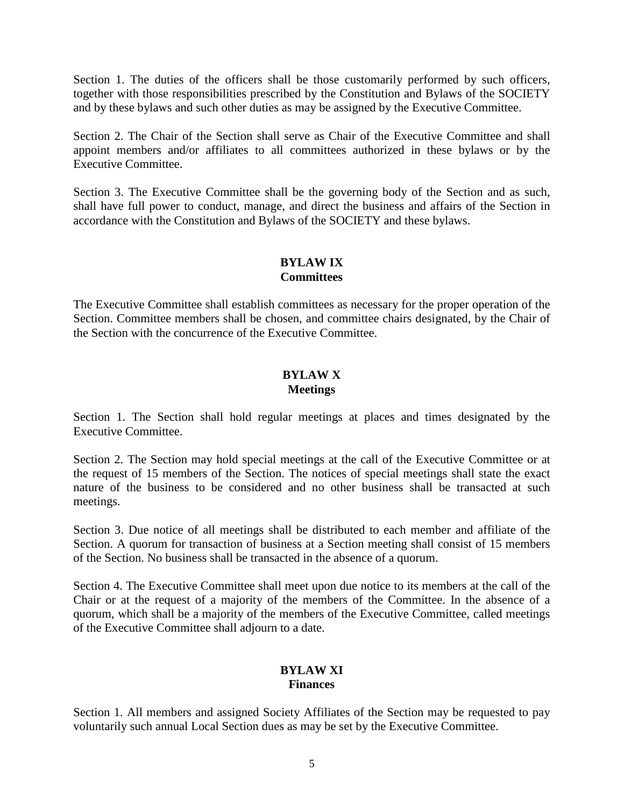Section 1. The duties of the officers shall be those customarily performed by such officers, together with those responsibilities prescribed by the Constitution and Bylaws of the SOCIETY and by these bylaws and such other duties as may be assigned by the Executive Committee.

Section 2. The Chair of the Section shall serve as Chair of the Executive Committee and shall appoint members and/or affiliates to all committees authorized in these bylaws or by the Executive Committee.

Section 3. The Executive Committee shall be the governing body of the Section and as such, shall have full power to conduct, manage, and direct the business and affairs of the Section in accordance with the Constitution and Bylaws of the SOCIETY and these bylaws.

## **BYLAW IX Committees**

The Executive Committee shall establish committees as necessary for the proper operation of the Section. Committee members shall be chosen, and committee chairs designated, by the Chair of the Section with the concurrence of the Executive Committee.

## **BYLAW X Meetings**

Section 1. The Section shall hold regular meetings at places and times designated by the Executive Committee.

Section 2. The Section may hold special meetings at the call of the Executive Committee or at the request of 15 members of the Section. The notices of special meetings shall state the exact nature of the business to be considered and no other business shall be transacted at such meetings.

Section 3. Due notice of all meetings shall be distributed to each member and affiliate of the Section. A quorum for transaction of business at a Section meeting shall consist of 15 members of the Section. No business shall be transacted in the absence of a quorum.

Section 4. The Executive Committee shall meet upon due notice to its members at the call of the Chair or at the request of a majority of the members of the Committee. In the absence of a quorum, which shall be a majority of the members of the Executive Committee, called meetings of the Executive Committee shall adjourn to a date.

## **BYLAW XI Finances**

Section 1. All members and assigned Society Affiliates of the Section may be requested to pay voluntarily such annual Local Section dues as may be set by the Executive Committee.